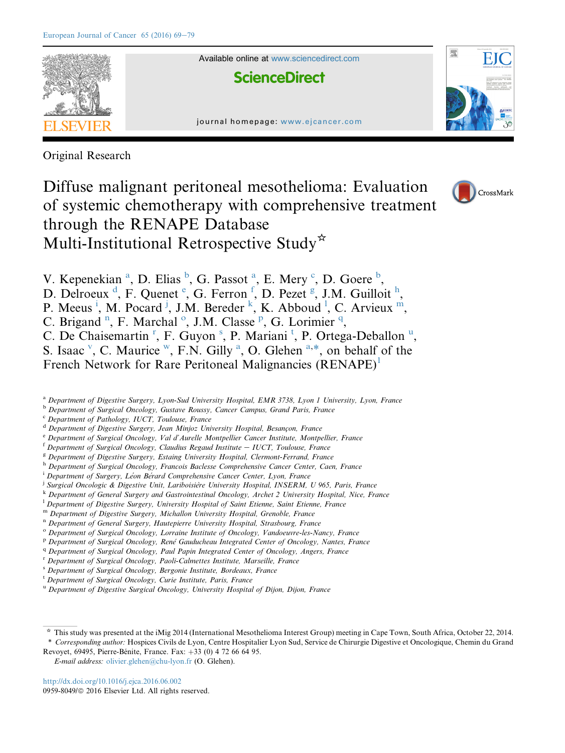

Original Research

Diffuse malignant peritoneal mesothelioma: Evaluation of systemic chemotherapy with comprehensive treatment through the RENAPE Database Multi-Institutional Retrospective Study\*



V. Kepenekian<sup>a</sup>, D. Elias <sup>b</sup>, G. Passot<sup>a</sup>, E. Mery <sup>c</sup>, D. Goere <sup>b</sup>,

D. Delroeux<sup>d</sup>, F. Quenet<sup>e</sup>, G. Ferron<sup>f</sup>, D. Pezet<sup>g</sup>, J.M. Guilloit<sup>h</sup>,

P. Meeus<sup>i</sup>, M. Pocard<sup>j</sup>, J.M. Bereder<sup>k</sup>, K. Abboud<sup>1</sup>, C. Arvieux<sup>m</sup>,

C. Brigand<sup>n</sup>, F. Marchal<sup>o</sup>, J.M. Classe<sup>p</sup>, G. Lorimier<sup>q</sup>,

C. De Chaisemartin<sup>r</sup>, F. Guyon<sup>s</sup>, P. Mariani<sup>t</sup>, P. Ortega-Deballon<sup>u</sup>,

S. Isaac  $\vee$  $\vee$  $\vee$ , C. Maurice  $\vee$ , F.N. Gilly <sup>a</sup>, O. Glehen  $a, *$ , on behalf of the

French Network for Rare Peritoneal Malignancies  $(RENAPE)^1$  $(RENAPE)^1$ 

a Department of Digestive Surgery, Lyon-Sud University Hospital, EMR 3738, Lyon 1 University, Lyon, France

**b** Department of Surgical Oncology, Gustave Roussy, Cancer Campus, Grand Paris, France

<sup>c</sup> Department of Pathology, IUCT, Toulouse, France

<sup>d</sup> Department of Digestive Surgery, Jean Minjoz University Hospital, Besançon, France

<sup>e</sup> Department of Surgical Oncology, Val d'Aurelle Montpellier Cancer Institute, Montpellier, France

 $f$  Department of Surgical Oncology, Claudius Regaud Institute  $-$  IUCT, Toulouse, France

<sup>g</sup> Department of Digestive Surgery, Estaing University Hospital, Clermont-Ferrand, France

h Department of Surgical Oncology, Francois Baclesse Comprehensive Cancer Center, Caen, France

- <sup>i</sup> Department of Surgery, Léon Bérard Comprehensive Cancer Center, Lyon, France
- <sup>j</sup> Surgical Oncologic & Digestive Unit, Lariboisière University Hospital, INSERM, U 965, Paris, France
- <sup>k</sup> Department of General Surgery and Gastrointestinal Oncology, Archet 2 University Hospital, Nice, France
- $^{\rm l}$  Department of Digestive Surgery, University Hospital of Saint Etienne, Saint Etienne, France
- <sup>m</sup> Department of Digestive Surgery, Michallon University Hospital, Grenoble, France
- <sup>n</sup> Department of General Surgery, Hautepierre University Hospital, Strasbourg, France
- <sup>o</sup> Department of Surgical Oncology, Lorraine Institute of Oncology, Vandoeuvre-les-Nancy, France
- P Department of Surgical Oncology, René Gauducheau Integrated Center of Oncology, Nantes, France
- <sup>q</sup> Department of Surgical Oncology, Paul Papin Integrated Center of Oncology, Angers, France
- <sup>r</sup> Department of Surgical Oncology, Paoli-Calmettes Institute, Marseille, France

<sup>s</sup> Department of Surgical Oncology, Bergonie Institute, Bordeaux, France

E-mail address: [olivier.glehen@chu-lyon.fr](mailto:olivier.glehen@chu-lyon.fr) (O. Glehen).

<http://dx.doi.org/10.1016/j.ejca.2016.06.002> 0959-8049/© 2016 Elsevier Ltd. All rights reserved.

<sup>t</sup> Department of Surgical Oncology, Curie Institute, Paris, France

<sup>u</sup> Department of Digestive Surgical Oncology, University Hospital of Dijon, Dijon, France

<sup>\*</sup> This study was presented at the iMig 2014 (International Mesothelioma Interest Group) meeting in Cape Town, South Africa, October 22, 2014. \* Corresponding author: Hospices Civils de Lyon, Centre Hospitalier Lyon Sud, Service de Chirurgie Digestive et Oncologique, Chemin du Grand Revoyet, 69495, Pierre-Bénite, France. Fax: +33 (0) 4 72 66 64 95.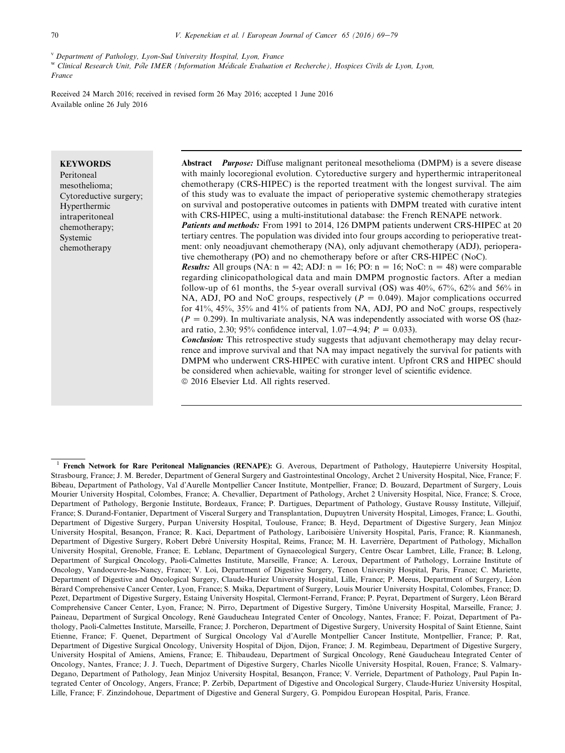w Clinical Research Unit, Pole IMER (Information Médicale Evaluation et Recherche), Hospices Civils de Lyon, Lyon, France

Received 24 March 2016; received in revised form 26 May 2016; accepted 1 June 2016 Available online 26 July 2016

#### **KEYWORDS**

Peritoneal mesothelioma; Cytoreductive surgery; Hyperthermic intraperitoneal chemotherapy; Systemic chemotherapy

Abstract *Purpose*: Diffuse malignant peritoneal mesothelioma (DMPM) is a severe disease with mainly locoregional evolution. Cytoreductive surgery and hyperthermic intraperitoneal chemotherapy (CRS-HIPEC) is the reported treatment with the longest survival. The aim of this study was to evaluate the impact of perioperative systemic chemotherapy strategies on survival and postoperative outcomes in patients with DMPM treated with curative intent with CRS-HIPEC, using a multi-institutional database: the French RENAPE network. Patients and methods: From 1991 to 2014, 126 DMPM patients underwent CRS-HIPEC at 20 tertiary centres. The population was divided into four groups according to perioperative treat-

ment: only neoadjuvant chemotherapy (NA), only adjuvant chemotherapy (ADJ), perioperative chemotherapy (PO) and no chemotherapy before or after CRS-HIPEC (NoC). *Results:* All groups (NA:  $n = 42$ ; ADJ:  $n = 16$ ; PO:  $n = 16$ ; NoC:  $n = 48$ ) were comparable regarding clinicopathological data and main DMPM prognostic factors. After a median follow-up of 61 months, the 5-year overall survival (OS) was 40%, 67%, 62% and 56% in

NA, ADJ, PO and NoC groups, respectively  $(P = 0.049)$ . Major complications occurred for 41%, 45%, 35% and 41% of patients from NA, ADJ, PO and NoC groups, respectively  $(P = 0.299)$ . In multivariate analysis, NA was independently associated with worse OS (hazard ratio, 2.30; 95% confidence interval, 1.07–4.94;  $P = 0.033$ ).

**Conclusion:** This retrospective study suggests that adjuvant chemotherapy may delay recurrence and improve survival and that NA may impact negatively the survival for patients with DMPM who underwent CRS-HIPEC with curative intent. Upfront CRS and HIPEC should be considered when achievable, waiting for stronger level of scientific evidence.  $© 2016 Elsevier Ltd. All rights reserved.$ 

<span id="page-1-0"></span> $\overline{v}$  Department of Pathology, Lyon-Sud University Hospital, Lyon, France

<sup>&</sup>lt;sup>1</sup> French Network for Rare Peritoneal Malignancies (RENAPE): G. Averous, Department of Pathology, Hautepierre University Hospital, Strasbourg, France; J. M. Bereder, Department of General Surgery and Gastrointestinal Oncology, Archet 2 University Hospital, Nice, France; F. Bibeau, Department of Pathology, Val d'Aurelle Montpellier Cancer Institute, Montpellier, France; D. Bouzard, Department of Surgery, Louis Mourier University Hospital, Colombes, France; A. Chevallier, Department of Pathology, Archet 2 University Hospital, Nice, France; S. Croce, Department of Pathology, Bergonie Institute, Bordeaux, France; P. Dartigues, Department of Pathology, Gustave Roussy Institute, Villejuif, France; S. Durand-Fontanier, Department of Visceral Surgery and Transplantation, Dupuytren University Hospital, Limoges, France; L. Gouthi, Department of Digestive Surgery, Purpan University Hospital, Toulouse, France; B. Heyd, Department of Digestive Surgery, Jean Minjoz University Hospital, Besançon, France; R. Kaci, Department of Pathology, Lariboisière University Hospital, Paris, France; R. Kianmanesh, Department of Digestive Surgery, Robert Debré University Hospital, Reims, France; M. H. Laverrière, Department of Pathology, Michallon University Hospital, Grenoble, France; E. Leblanc, Department of Gynaecological Surgery, Centre Oscar Lambret, Lille, France; B. Lelong, Department of Surgical Oncology, Paoli-Calmettes Institute, Marseille, France; A. Leroux, Department of Pathology, Lorraine Institute of Oncology, Vandoeuvre-les-Nancy, France; V. Loi, Department of Digestive Surgery, Tenon University Hospital, Paris, France; C. Mariette, Department of Digestive and Oncological Surgery, Claude-Huriez University Hospital, Lille, France; P. Meeus, Department of Surgery, Léon Bérard Comprehensive Cancer Center, Lyon, France; S. Msika, Department of Surgery, Louis Mourier University Hospital, Colombes, France; D. Pezet, Department of Digestive Surgery, Estaing University Hospital, Clermont-Ferrand, France; P. Peyrat, Department of Surgery, Léon Bérard Comprehensive Cancer Center, Lyon, France; N. Pirro, Department of Digestive Surgery, Timône University Hospital, Marseille, France; J. Paineau, Department of Surgical Oncology, René Gauducheau Integrated Center of Oncology, Nantes, France; F. Poizat, Department of Pathology, Paoli-Calmettes Institute, Marseille, France; J. Porcheron, Department of Digestive Surgery, University Hospital of Saint Etienne, Saint Etienne, France; F. Quenet, Department of Surgical Oncology Val d'Aurelle Montpellier Cancer Institute, Montpellier, France; P. Rat, Department of Digestive Surgical Oncology, University Hospital of Dijon, Dijon, France; J. M. Regimbeau, Department of Digestive Surgery, University Hospital of Amiens, Amiens, France; E. Thibaudeau, Department of Surgical Oncology, René Gauducheau Integrated Center of Oncology, Nantes, France; J. J. Tuech, Department of Digestive Surgery, Charles Nicolle University Hospital, Rouen, France; S. Valmary-Degano, Department of Pathology, Jean Minjoz University Hospital, Besançon, France; V. Verriele, Department of Pathology, Paul Papin Integrated Center of Oncology, Angers, France; P. Zerbib, Department of Digestive and Oncological Surgery, Claude-Huriez University Hospital, Lille, France; F. Zinzindohoue, Department of Digestive and General Surgery, G. Pompidou European Hospital, Paris, France.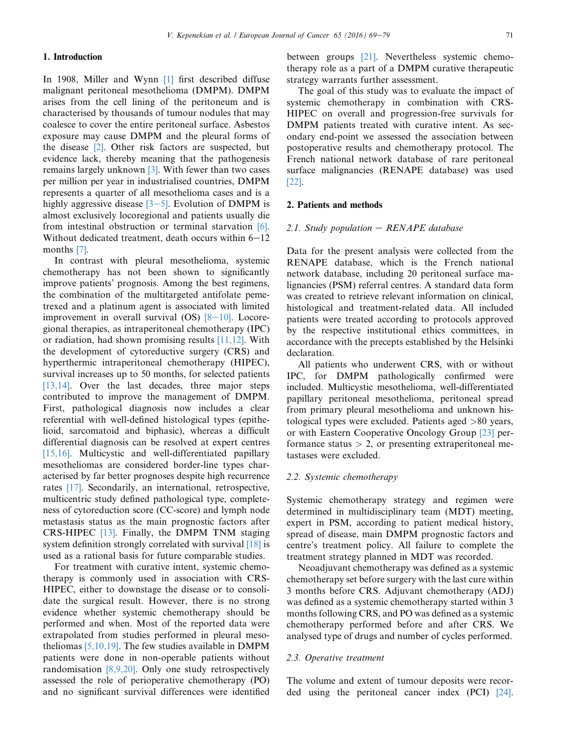## 1. Introduction

In 1908, Miller and Wynn [\[1\]](#page-9-0) first described diffuse malignant peritoneal mesothelioma (DMPM). DMPM arises from the cell lining of the peritoneum and is characterised by thousands of tumour nodules that may coalesce to cover the entire peritoneal surface. Asbestos exposure may cause DMPM and the pleural forms of the disease [\[2\]](#page-9-0). Other risk factors are suspected, but evidence lack, thereby meaning that the pathogenesis remains largely unknown [\[3\]](#page-9-0). With fewer than two cases per million per year in industrialised countries, DMPM represents a quarter of all mesothelioma cases and is a highly aggressive disease  $[3-5]$  $[3-5]$ . Evolution of DMPM is almost exclusively locoregional and patients usually die from intestinal obstruction or terminal starvation [\[6\].](#page-9-0) Without dedicated treatment, death occurs within  $6-12$ months [\[7\].](#page-9-0)

In contrast with pleural mesothelioma, systemic chemotherapy has not been shown to significantly improve patients' prognosis. Among the best regimens, the combination of the multitargeted antifolate pemetrexed and a platinum agent is associated with limited improvement in overall survival  $OS$ ) [\[8](#page-9-0)-[10\].](#page-9-0) Locoregional therapies, as intraperitoneal chemotherapy (IPC) or radiation, had shown promising results [\[11,12\]](#page-9-0). With the development of cytoreductive surgery (CRS) and hyperthermic intraperitoneal chemotherapy (HIPEC), survival increases up to 50 months, for selected patients [\[13,14\]](#page-9-0). Over the last decades, three major steps contributed to improve the management of DMPM. First, pathological diagnosis now includes a clear referential with well-defined histological types (epithelioid, sarcomatoid and biphasic), whereas a difficult differential diagnosis can be resolved at expert centres [\[15,16\]](#page-9-0). Multicystic and well-differentiated papillary mesotheliomas are considered border-line types characterised by far better prognoses despite high recurrence rates [\[17\].](#page-9-0) Secondarily, an international, retrospective, multicentric study defined pathological type, completeness of cytoreduction score (CC-score) and lymph node metastasis status as the main prognostic factors after CRS-HIPEC [\[13\]](#page-9-0). Finally, the DMPM TNM staging system definition strongly correlated with survival [\[18\]](#page-10-0) is used as a rational basis for future comparable studies.

For treatment with curative intent, systemic chemotherapy is commonly used in association with CRS-HIPEC, either to downstage the disease or to consolidate the surgical result. However, there is no strong evidence whether systemic chemotherapy should be performed and when. Most of the reported data were extrapolated from studies performed in pleural mesotheliomas  $[5,10,19]$ . The few studies available in DMPM patients were done in non-operable patients without randomisation [\[8,9,20\].](#page-9-0) Only one study retrospectively assessed the role of perioperative chemotherapy (PO) and no significant survival differences were identified between groups [\[21\]](#page-10-0). Nevertheless systemic chemotherapy role as a part of a DMPM curative therapeutic strategy warrants further assessment.

The goal of this study was to evaluate the impact of systemic chemotherapy in combination with CRS-HIPEC on overall and progression-free survivals for DMPM patients treated with curative intent. As secondary end-point we assessed the association between postoperative results and chemotherapy protocol. The French national network database of rare peritoneal surface malignancies (RENAPE database) was used [\[22\].](#page-10-0)

### 2. Patients and methods

### 2.1. Study population  $-$  RENAPE database

Data for the present analysis were collected from the RENAPE database, which is the French national network database, including 20 peritoneal surface malignancies (PSM) referral centres. A standard data form was created to retrieve relevant information on clinical, histological and treatment-related data. All included patients were treated according to protocols approved by the respective institutional ethics committees, in accordance with the precepts established by the Helsinki declaration.

All patients who underwent CRS, with or without IPC, for DMPM pathologically confirmed were included. Multicystic mesothelioma, well-differentiated papillary peritoneal mesothelioma, peritoneal spread from primary pleural mesothelioma and unknown histological types were excluded. Patients aged >80 years, or with Eastern Cooperative Oncology Group [\[23\]](#page-10-0) performance status  $> 2$ , or presenting extraperitoneal metastases were excluded.

## 2.2. Systemic chemotherapy

Systemic chemotherapy strategy and regimen were determined in multidisciplinary team (MDT) meeting, expert in PSM, according to patient medical history, spread of disease, main DMPM prognostic factors and centre's treatment policy. All failure to complete the treatment strategy planned in MDT was recorded.

Neoadjuvant chemotherapy was defined as a systemic chemotherapy set before surgery with the last cure within 3 months before CRS. Adjuvant chemotherapy (ADJ) was defined as a systemic chemotherapy started within 3 months following CRS, and PO was defined as a systemic chemotherapy performed before and after CRS. We analysed type of drugs and number of cycles performed.

## 2.3. Operative treatment

The volume and extent of tumour deposits were recorded using the peritoneal cancer index (PCI) [\[24\].](#page-10-0)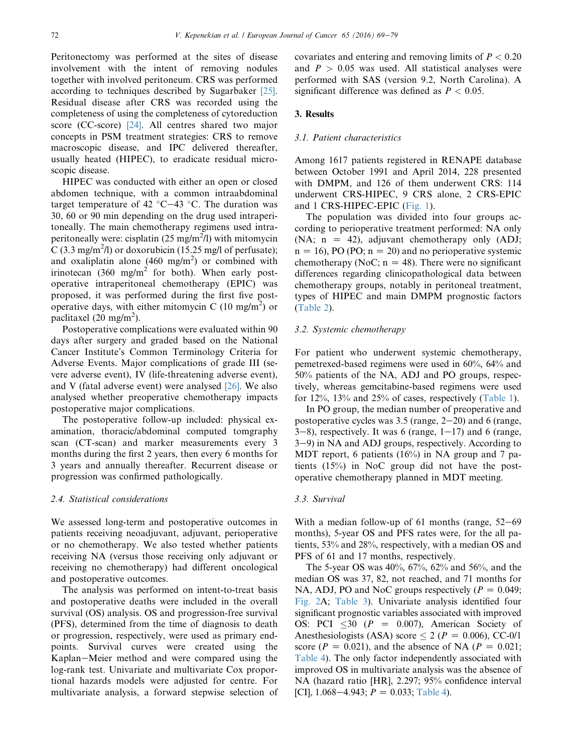Peritonectomy was performed at the sites of disease involvement with the intent of removing nodules together with involved peritoneum. CRS was performed according to techniques described by Sugarbaker [\[25\]](#page-10-0). Residual disease after CRS was recorded using the completeness of using the completeness of cytoreduction score (CC-score) [\[24\].](#page-10-0) All centres shared two major concepts in PSM treatment strategies: CRS to remove macroscopic disease, and IPC delivered thereafter, usually heated (HIPEC), to eradicate residual microscopic disease.

HIPEC was conducted with either an open or closed abdomen technique, with a common intraabdominal target temperature of 42  $^{\circ}$ C $-43$   $^{\circ}$ C. The duration was 30, 60 or 90 min depending on the drug used intraperitoneally. The main chemotherapy regimens used intraperitoneally were: cisplatin  $(25 \text{ mg/m}^2/l)$  with mitomycin  $\overline{C}$  (3.3 mg/m<sup>2</sup>/l) or doxorubicin (15.25 mg/l of perfusate); and oxaliplatin alone  $(460 \text{ mg/m}^2)$  or combined with irinotecan (360 mg/m<sup>2</sup> for both). When early postoperative intraperitoneal chemotherapy (EPIC) was proposed, it was performed during the first five postoperative days, with either mitomycin C (10 mg/m<sup>2</sup>) or paclitaxel  $(20 \text{ mg/m}^2)$ .

Postoperative complications were evaluated within 90 days after surgery and graded based on the National Cancer Institute's Common Terminology Criteria for Adverse Events. Major complications of grade III (severe adverse event), IV (life-threatening adverse event), and V (fatal adverse event) were analysed [\[26\]](#page-10-0). We also analysed whether preoperative chemotherapy impacts postoperative major complications.

The postoperative follow-up included: physical examination, thoracic/abdominal computed tomgraphy scan (CT-scan) and marker measurements every 3 months during the first 2 years, then every 6 months for 3 years and annually thereafter. Recurrent disease or progression was confirmed pathologically.

#### 2.4. Statistical considerations

We assessed long-term and postoperative outcomes in patients receiving neoadjuvant, adjuvant, perioperative or no chemotherapy. We also tested whether patients receiving NA (versus those receiving only adjuvant or receiving no chemotherapy) had different oncological and postoperative outcomes.

The analysis was performed on intent-to-treat basis and postoperative deaths were included in the overall survival (OS) analysis. OS and progression-free survival (PFS), determined from the time of diagnosis to death or progression, respectively, were used as primary endpoints. Survival curves were created using the Kaplan-Meier method and were compared using the log-rank test. Univariate and multivariate Cox proportional hazards models were adjusted for centre. For multivariate analysis, a forward stepwise selection of covariates and entering and removing limits of  $P < 0.20$ and  $P > 0.05$  was used. All statistical analyses were performed with SAS (version 9.2, North Carolina). A significant difference was defined as  $P < 0.05$ .

## 3. Results

### 3.1. Patient characteristics

Among 1617 patients registered in RENAPE database between October 1991 and April 2014, 228 presented with DMPM, and 126 of them underwent CRS: 114 underwent CRS-HIPEC, 9 CRS alone, 2 CRS-EPIC and 1 CRS-HIPEC-EPIC ([Fig. 1](#page-4-0)).

The population was divided into four groups according to perioperative treatment performed: NA only (NA;  $n = 42$ ), adjuvant chemotherapy only (ADJ;  $n = 16$ , PO (PO;  $n = 20$ ) and no perioperative systemic chemotherapy (NoC;  $n = 48$ ). There were no significant differences regarding clinicopathological data between chemotherapy groups, notably in peritoneal treatment, types of HIPEC and main DMPM prognostic factors [\(Table 2\)](#page-6-0).

### 3.2. Systemic chemotherapy

For patient who underwent systemic chemotherapy, pemetrexed-based regimens were used in 60%, 64% and 50% patients of the NA, ADJ and PO groups, respectively, whereas gemcitabine-based regimens were used for 12%, 13% and 25% of cases, respectively [\(Table 1\)](#page-5-0).

In PO group, the median number of preoperative and postoperative cycles was  $3.5$  (range,  $2-20$ ) and 6 (range,  $3-8$ ), respectively. It was 6 (range,  $1-17$ ) and 6 (range, 3–9) in NA and ADJ groups, respectively. According to MDT report, 6 patients (16%) in NA group and 7 patients (15%) in NoC group did not have the postoperative chemotherapy planned in MDT meeting.

#### 3.3. Survival

With a median follow-up of 61 months (range,  $52-69$ ) months), 5-year OS and PFS rates were, for the all patients, 53% and 28%, respectively, with a median OS and PFS of 61 and 17 months, respectively.

The 5-year OS was 40%, 67%, 62% and 56%, and the median OS was 37, 82, not reached, and 71 months for NA, ADJ, PO and NoC groups respectively ( $P = 0.049$ ; [Fig. 2A](#page-7-0); [Table 3\)](#page-7-0). Univariate analysis identified four significant prognostic variables associated with improved OS: PCI  $\leq 30$  (P = 0.007), American Society of Anesthesiologists (ASA) score  $\leq 2$  ( $P = 0.006$ ), CC-0/1 score ( $P = 0.021$ ), and the absence of NA ( $P = 0.021$ ; [Table 4](#page-8-0)). The only factor independently associated with improved OS in multivariate analysis was the absence of NA (hazard ratio [HR], 2.297; 95% confidence interval [CI], 1.068–4.943;  $P = 0.033$ ; [Table 4\)](#page-8-0).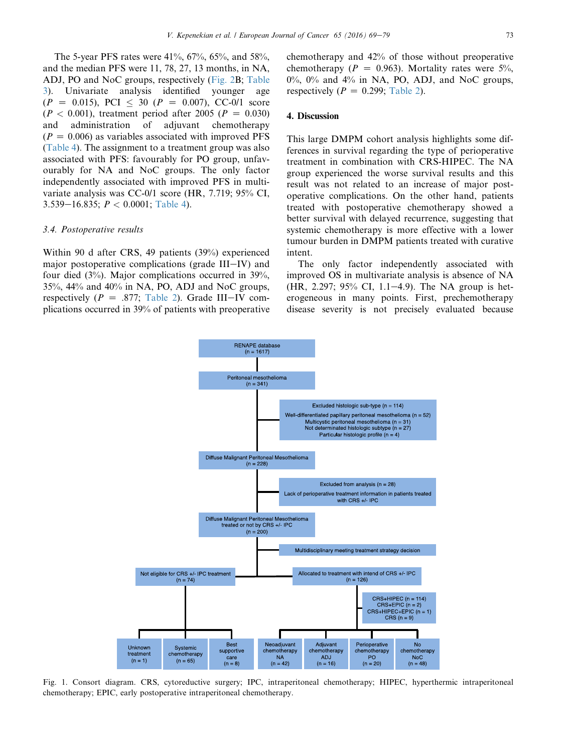<span id="page-4-0"></span>The 5-year PFS rates were 41%, 67%, 65%, and 58%, and the median PFS were 11, 78, 27, 13 months, in NA, ADJ, PO and NoC groups, respectively ([Fig. 2B](#page-7-0); [Table](#page-7-0) [3](#page-7-0)). Univariate analysis identified younger age  $(P = 0.015)$ , PCI < 30 ( $P = 0.007$ ), CC-0/1 score  $(P < 0.001)$ , treatment period after 2005 ( $P = 0.030$ ) and administration of adjuvant chemotherapy  $(P = 0.006)$  as variables associated with improved PFS ([Table 4](#page-8-0)). The assignment to a treatment group was also associated with PFS: favourably for PO group, unfavourably for NA and NoC groups. The only factor independently associated with improved PFS in multivariate analysis was CC-0/1 score (HR, 7.719; 95% CI, 3.539–16.835;  $P < 0.0001$ ; [Table 4](#page-8-0)).

## 3.4. Postoperative results

Within 90 d after CRS, 49 patients (39%) experienced major postoperative complications (grade  $III-IV$ ) and four died (3%). Major complications occurred in 39%, 35%, 44% and 40% in NA, PO, ADJ and NoC groups, respectively ( $P = .877$ ; [Table 2\)](#page-6-0). Grade III-IV complications occurred in 39% of patients with preoperative chemotherapy and 42% of those without preoperative chemotherapy ( $P = 0.963$ ). Mortality rates were 5%,  $0\%$ ,  $0\%$  and  $4\%$  in NA, PO, ADJ, and NoC groups, respectively ( $P = 0.299$ ; [Table 2\)](#page-6-0).

# 4. Discussion

This large DMPM cohort analysis highlights some differences in survival regarding the type of perioperative treatment in combination with CRS-HIPEC. The NA group experienced the worse survival results and this result was not related to an increase of major postoperative complications. On the other hand, patients treated with postoperative chemotherapy showed a better survival with delayed recurrence, suggesting that systemic chemotherapy is more effective with a lower tumour burden in DMPM patients treated with curative intent.

The only factor independently associated with improved OS in multivariate analysis is absence of NA  $(HR, 2.297; 95\% \text{ CI}, 1.1-4.9)$ . The NA group is heterogeneous in many points. First, prechemotherapy disease severity is not precisely evaluated because



Fig. 1. Consort diagram. CRS, cytoreductive surgery; IPC, intraperitoneal chemotherapy; HIPEC, hyperthermic intraperitoneal chemotherapy; EPIC, early postoperative intraperitoneal chemotherapy.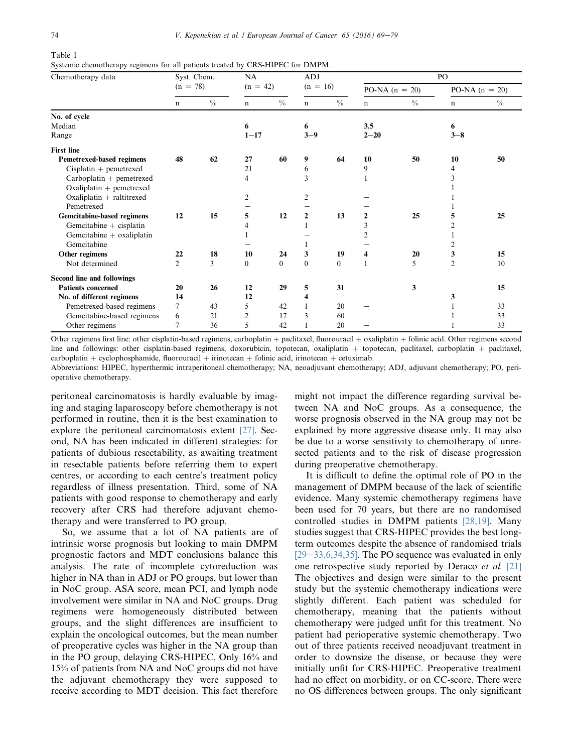<span id="page-5-0"></span>Table 1

Systemic chemotherapy regimens for all patients treated by CRS-HIPEC for DMPM.

| Chemotherapy data           | Syst. Chem.<br>$(n = 78)$ |               | NA             |                | <b>ADJ</b>     |               | PO               |               |                  |               |
|-----------------------------|---------------------------|---------------|----------------|----------------|----------------|---------------|------------------|---------------|------------------|---------------|
|                             |                           |               |                | $(n = 42)$     |                | $(n = 16)$    | PO-NA $(n = 20)$ |               | PO-NA $(n = 20)$ |               |
|                             | $\mathbf n$               | $\frac{0}{0}$ | $\mathbf n$    | $\frac{0}{0}$  | $\mathbf n$    | $\frac{0}{0}$ | n                | $\frac{0}{0}$ | $\mathbf n$      | $\frac{0}{0}$ |
| No. of cycle                |                           |               |                |                |                |               |                  |               |                  |               |
| Median                      |                           |               | 6              |                | 6              |               | 3.5              |               | 6                |               |
| Range                       |                           |               | $1 - 17$       |                | $3 - 9$        |               | $2 - 20$         |               | $3 - 8$          |               |
| <b>First line</b>           |                           |               |                |                |                |               |                  |               |                  |               |
| Pemetrexed-based regimens   | 48                        | 62            | 27             | 60             | 9              | 64            | 10               | 50            | 10               | 50            |
| $Cisplatin + pemetrexed$    |                           |               | 21             |                | 6              |               | 9                |               | 4                |               |
| $Carboplatin + pemetrexed$  |                           |               | 4              |                | 3              |               |                  |               |                  |               |
| Oxaliplatin $+$ pemetrexed  |                           |               |                |                |                |               |                  |               |                  |               |
| Oxaliplatin $+$ raltitrexed |                           |               | $\overline{2}$ |                | 2              |               |                  |               |                  |               |
| Pemetrexed                  |                           |               |                |                |                |               |                  |               |                  |               |
| Gemcitabine-based regimens  | 12                        | 15            | 5              | 12             | $\overline{2}$ | 13            | 2                | 25            | 5                | 25            |
| Gemcitabine $+$ cisplatin   |                           |               | 4              |                |                |               | 3                |               |                  |               |
| Gemcitabine + oxaliplatin   |                           |               |                |                |                |               | 2                |               |                  |               |
| Gemcitabine                 |                           |               |                |                |                |               |                  |               | 2                |               |
| Other regimens              | 22                        | 18            | 10             | 24             | 3              | 19            | 4                | 20            | 3                | 15            |
| Not determined              | $\overline{2}$            | $\mathcal{E}$ | $\theta$       | $\overline{0}$ | $\mathbf{0}$   | $\theta$      | $\mathbf{1}$     | 5             | $\overline{2}$   | 10            |
| Second line and followings  |                           |               |                |                |                |               |                  |               |                  |               |
| <b>Patients concerned</b>   | 20                        | 26            | 12             | 29             | 5              | 31            |                  | 3             |                  | 15            |
| No. of different regimens   | 14                        |               | 12             |                | 4              |               |                  |               | 3                |               |
| Pemetrexed-based regimens   | $\tau$                    | 43            | 5              | 42             |                | 20            |                  |               |                  | 33            |
| Gemcitabine-based regimens  | 6                         | 21            | 2              | 17             | 3              | 60            |                  |               |                  | 33            |
| Other regimens              | 7                         | 36            | 5              | 42             |                | 20            |                  |               |                  | 33            |

Other regimens first line: other cisplatin-based regimens, carboplatin + paclitaxel, fluorouracil + oxaliplatin + folinic acid. Other regimens second line and followings: other cisplatin-based regimens, doxorubicin, topotecan, oxaliplatin + topotecan, paclitaxel, carboplatin + paclitaxel,  $carboplation + cyclophosphamide, fluorouracil + irinotecan + folinic acid, irinotecan + cetuximab.$ Abbreviations: HIPEC, hyperthermic intraperitoneal chemotherapy; NA, neoadjuvant chemotherapy; ADJ, adjuvant chemotherapy; PO, perioperative chemotherapy.

peritoneal carcinomatosis is hardly evaluable by imaging and staging laparoscopy before chemotherapy is not performed in routine, then it is the best examination to explore the peritoneal carcinomatosis extent [\[27\]](#page-10-0). Second, NA has been indicated in different strategies: for patients of dubious resectability, as awaiting treatment in resectable patients before referring them to expert centres, or according to each centre's treatment policy regardless of illness presentation. Third, some of NA patients with good response to chemotherapy and early recovery after CRS had therefore adjuvant chemotherapy and were transferred to PO group.

So, we assume that a lot of NA patients are of intrinsic worse prognosis but looking to main DMPM prognostic factors and MDT conclusions balance this analysis. The rate of incomplete cytoreduction was higher in NA than in ADJ or PO groups, but lower than in NoC group. ASA score, mean PCI, and lymph node involvement were similar in NA and NoC groups. Drug regimens were homogeneously distributed between groups, and the slight differences are insufficient to explain the oncological outcomes, but the mean number of preoperative cycles was higher in the NA group than in the PO group, delaying CRS-HIPEC. Only 16% and 15% of patients from NA and NoC groups did not have the adjuvant chemotherapy they were supposed to receive according to MDT decision. This fact therefore might not impact the difference regarding survival between NA and NoC groups. As a consequence, the worse prognosis observed in the NA group may not be explained by more aggressive disease only. It may also be due to a worse sensitivity to chemotherapy of unresected patients and to the risk of disease progression during preoperative chemotherapy.

It is difficult to define the optimal role of PO in the management of DMPM because of the lack of scientific evidence. Many systemic chemotherapy regimens have been used for 70 years, but there are no randomised controlled studies in DMPM patients [\[28,19\]](#page-10-0). Many studies suggest that CRS-HIPEC provides the best longterm outcomes despite the absence of randomised trials  $[29-33,6,34,35]$  $[29-33,6,34,35]$ . The PO sequence was evaluated in only one retrospective study reported by Deraco et al. [\[21\]](#page-10-0) The objectives and design were similar to the present study but the systemic chemotherapy indications were slightly different. Each patient was scheduled for chemotherapy, meaning that the patients without chemotherapy were judged unfit for this treatment. No patient had perioperative systemic chemotherapy. Two out of three patients received neoadjuvant treatment in order to downsize the disease, or because they were initially unfit for CRS-HIPEC. Preoperative treatment had no effect on morbidity, or on CC-score. There were no OS differences between groups. The only significant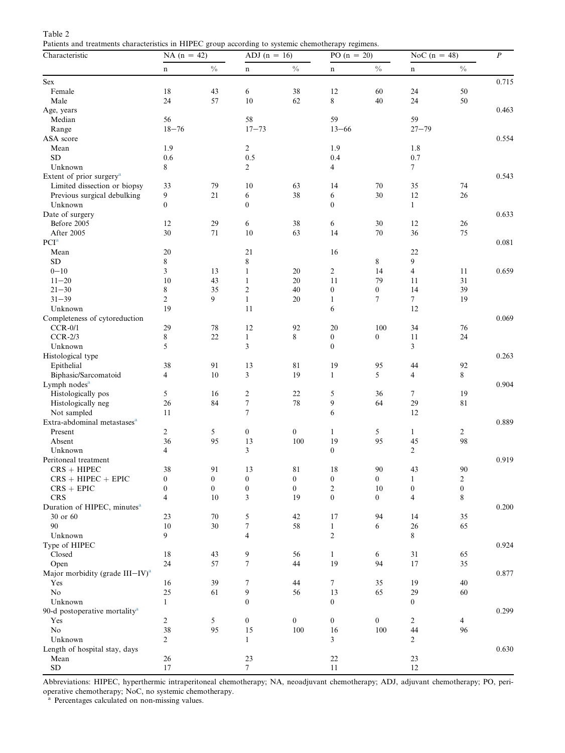<span id="page-6-0"></span>

| Table 2                                                                                             |  |  |
|-----------------------------------------------------------------------------------------------------|--|--|
| Patients and treatments characteristics in HIPEC group according to systemic chemotherapy regimens. |  |  |

| Characteristic                              | $\overline{\phantom{a}}$<br>NA $(n = 42)$ |                  | ADJ $(n = 16)$          |                  | ÷<br>$PO (n = 20)$ |                  | NoC $(n = 48)$   |                  | $\boldsymbol{P}$ |
|---------------------------------------------|-------------------------------------------|------------------|-------------------------|------------------|--------------------|------------------|------------------|------------------|------------------|
|                                             | n                                         | $\frac{0}{0}$    | n                       | $\frac{0}{0}$    | n                  | $\%$             | n                | $\frac{0}{0}$    |                  |
| $\operatorname{Sex}$                        |                                           |                  |                         |                  |                    |                  |                  |                  | 0.715            |
| Female                                      | 18                                        | 43               | 6                       | 38               | 12                 | 60               | 24               | 50               |                  |
| Male                                        | 24                                        | 57               | 10                      | 62               | 8                  | 40               | 24               | $50\,$           |                  |
| Age, years                                  |                                           |                  |                         |                  |                    |                  |                  |                  | 0.463            |
| Median                                      | 56                                        |                  | 58                      |                  | 59                 |                  | 59               |                  |                  |
| Range                                       | $18 - 76$                                 |                  | $17 - 73$               |                  | $13 - 66$          |                  | $27 - 79$        |                  |                  |
| ASA score                                   |                                           |                  |                         |                  |                    |                  |                  |                  | 0.554            |
| Mean                                        | 1.9                                       |                  | $\overline{c}$          |                  | 1.9                |                  | 1.8              |                  |                  |
| <b>SD</b>                                   | 0.6                                       |                  | 0.5                     |                  | 0.4                |                  | 0.7              |                  |                  |
| Unknown                                     | 8                                         |                  | 2                       |                  | 4                  |                  | 7                |                  |                  |
| Extent of prior surgery <sup>a</sup>        |                                           |                  |                         |                  |                    |                  |                  |                  | 0.543            |
| Limited dissection or biopsy                | 33                                        | 79               | 10                      | 63               | 14                 | 70               | 35               | 74               |                  |
| Previous surgical debulking                 | 9                                         | 21               | 6                       | 38               | 6                  | 30               | 12               | 26               |                  |
| Unknown                                     | $\mathbf{0}$                              |                  | $\boldsymbol{0}$        |                  | $\boldsymbol{0}$   |                  | $\mathbf{1}$     |                  |                  |
| Date of surgery                             |                                           |                  |                         |                  |                    |                  |                  |                  | 0.633            |
| Before 2005                                 | 12                                        | 29               | 6                       | 38               | 6                  | 30               | 12               | 26               |                  |
| After 2005                                  | 30                                        | 71               | 10                      | 63               | 14                 | 70               | 36               | 75               |                  |
| PCI <sup>a</sup>                            |                                           |                  |                         |                  |                    |                  |                  |                  | 0.081            |
| Mean                                        | 20                                        |                  | 21                      |                  | 16                 |                  | 22               |                  |                  |
| <b>SD</b>                                   | 8                                         |                  | 8                       |                  |                    | 8                | 9                |                  |                  |
| $0 - 10$                                    | 3                                         | 13               | $\mathbf{1}$            | 20               | 2                  | 14               | 4                | 11               | 0.659            |
| $11 - 20$                                   | 10                                        | 43               | $\mathbf{1}$            | 20               | 11                 | 79               | 11               | 31               |                  |
| $21 - 30$                                   | 8                                         | 35               | $\overline{c}$          | 40               | $\boldsymbol{0}$   | $\boldsymbol{0}$ | 14               | 39               |                  |
| $31 - 39$                                   | $\overline{c}$                            | 9                | $\mathbf{1}$            | 20               | 1                  | 7                | $\tau$           | 19               |                  |
| Unknown                                     | 19                                        |                  | 11                      |                  | 6                  |                  | 12               |                  |                  |
| Completeness of cytoreduction               |                                           |                  |                         |                  |                    |                  |                  |                  | 0.069            |
| $CCR-0/1$                                   | 29                                        | 78               | 12                      | 92               | 20                 | 100              | 34               | 76               |                  |
| $CCR-2/3$                                   | 8                                         | 22               | $\mathbf{1}$            | 8                | $\boldsymbol{0}$   | $\boldsymbol{0}$ | 11               | 24               |                  |
| Unknown                                     | 5                                         |                  | 3                       |                  | $\mathbf{0}$       |                  | 3                |                  |                  |
| Histological type                           |                                           |                  |                         |                  |                    |                  |                  |                  | 0.263            |
| Epithelial                                  | 38                                        | 91               | 13                      | 81               | 19                 | 95               | 44               | 92               |                  |
| Biphasic/Sarcomatoid                        | 4                                         | 10               | 3                       | 19               | $\mathbf{1}$       | 5                | $\overline{4}$   | 8                |                  |
| Lymph nodes <sup>a</sup>                    |                                           |                  |                         |                  |                    |                  |                  |                  | 0.904            |
| Histologically pos                          | 5                                         | 16               | $\overline{\mathbf{c}}$ | 22               | 5                  | 36               | $\tau$           | 19               |                  |
| Histologically neg                          | 26                                        | 84               | $\boldsymbol{7}$        | 78               | 9                  | 64               | 29               | 81               |                  |
| Not sampled                                 | 11                                        |                  | $\tau$                  |                  | 6                  |                  | 12               |                  |                  |
| Extra-abdominal metastases <sup>a</sup>     |                                           |                  |                         |                  |                    |                  |                  |                  | 0.889            |
| Present                                     | 2                                         | 5                | $\boldsymbol{0}$        | $\boldsymbol{0}$ | $\mathbf{1}$       | 5                | $\mathbf{1}$     | 2                |                  |
| Absent                                      | 36                                        | 95               | 13                      | 100              | 19                 | 95               | 45               | 98               |                  |
| Unknown                                     | 4                                         |                  | 3                       |                  | $\overline{0}$     |                  | $\overline{2}$   |                  |                  |
| Peritoneal treatment                        |                                           |                  |                         |                  |                    |                  |                  |                  | 0.919            |
| $CRS + HIPEC$                               | 38                                        | 91               | 13                      | 81               | 18                 | 90               | 43               | 90               |                  |
| $CRS + HIPEC + EPIC$                        | $\boldsymbol{0}$                          | $\boldsymbol{0}$ | $\boldsymbol{0}$        | $\boldsymbol{0}$ | $\boldsymbol{0}$   | $\boldsymbol{0}$ | $\mathbf{1}$     | $\sqrt{2}$       |                  |
| $CRS + EPIC$                                | $\overline{0}$                            | $\boldsymbol{0}$ | $\boldsymbol{0}$        | $\mathbf{0}$     | $\overline{c}$     | $10\,$           | $\boldsymbol{0}$ | $\boldsymbol{0}$ |                  |
| <b>CRS</b>                                  | $\overline{4}$                            | 10               | 3                       | 19               | $\boldsymbol{0}$   | $\mathbf{0}$     | 4                | 8                |                  |
| Duration of HIPEC, minutes <sup>a</sup>     |                                           |                  |                         |                  |                    |                  |                  |                  | 0.200            |
| 30 or 60                                    | 23                                        | 70               | 5                       | 42               | 17                 | 94               | 14               | 35               |                  |
| 90                                          | 10                                        | $30\,$           | 7                       | 58               | $\mathbf{1}$       | 6                | $26\,$           | 65               |                  |
| Unknown                                     | 9                                         |                  | 4                       |                  | $\overline{c}$     |                  | 8                |                  |                  |
| Type of HIPEC                               |                                           |                  |                         |                  |                    |                  |                  |                  | 0.924            |
| Closed                                      | 18                                        | 43               | 9                       | 56               | $\mathbf{1}$       | 6                | 31               | 65               |                  |
| Open                                        | 24                                        | 57               | $\boldsymbol{7}$        | 44               | 19                 | 94               | 17               | 35               |                  |
| Major morbidity (grade III-IV) <sup>a</sup> |                                           |                  |                         |                  |                    |                  |                  |                  | 0.877            |
| Yes                                         | 16                                        | 39               | 7                       | 44               | 7                  | 35               | 19               | 40               |                  |
| No                                          | $25\,$                                    | 61               | 9                       | 56               | 13                 | 65               | 29               | 60               |                  |
| Unknown                                     | $\mathbf{1}$                              |                  | $\boldsymbol{0}$        |                  | $\boldsymbol{0}$   |                  | $\boldsymbol{0}$ |                  |                  |
| 90-d postoperative mortality <sup>a</sup>   |                                           |                  |                         |                  |                    |                  |                  |                  | 0.299            |
| Yes                                         | $\overline{2}$                            | 5                | $\boldsymbol{0}$        | $\boldsymbol{0}$ | $\boldsymbol{0}$   | $\overline{0}$   | 2                | $\overline{4}$   |                  |
| No                                          | 38                                        | 95               | 15                      | 100              | 16                 | 100              | 44               | 96               |                  |
| Unknown                                     | $\overline{2}$                            |                  | $\mathbf{1}$            |                  | 3                  |                  | 2                |                  |                  |
| Length of hospital stay, days               |                                           |                  |                         |                  |                    |                  |                  |                  | 0.630            |
| Mean                                        | $26\,$                                    |                  | 23                      |                  | 22                 |                  | 23               |                  |                  |
| ${\rm SD}$                                  | $17\,$                                    |                  | $\boldsymbol{7}$        |                  | $11\,$             |                  | $12\,$           |                  |                  |

Abbreviations: HIPEC, hyperthermic intraperitoneal chemotherapy; NA, neoadjuvant chemotherapy; ADJ, adjuvant chemotherapy; PO, peri-

operative chemotherapy; NoC, no systemic chemotherapy. <sup>a</sup> Percentages calculated on non-missing values.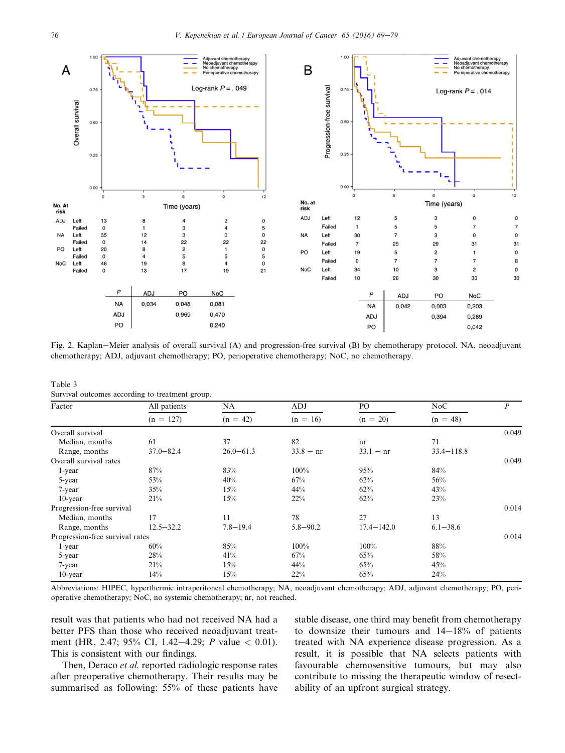<span id="page-7-0"></span>

Fig. 2. Kaplan–Meier analysis of overall survival (A) and progression-free survival (B) by chemotherapy protocol. NA, neoadjuvant chemotherapy; ADJ, adjuvant chemotherapy; PO, perioperative chemotherapy; NoC, no chemotherapy.

Table 3 Survival outcomes according to treatment group.

| Factor                          | All patients  | NA.           | ADJ          | PO.            | NoC            | $\boldsymbol{P}$ |
|---------------------------------|---------------|---------------|--------------|----------------|----------------|------------------|
|                                 | $(n = 127)$   | $(n = 42)$    | $(n = 16)$   | $(n = 20)$     | $(n = 48)$     |                  |
| Overall survival                |               |               |              |                |                | 0.049            |
| Median, months                  | 61            | 37            | 82           | nr             | 71             |                  |
| Range, months                   | $37.0 - 82.4$ | $26.0 - 61.3$ | $33.8 - nr$  | $33.1 - nr$    | $33.4 - 118.8$ |                  |
| Overall survival rates          |               |               |              |                |                | 0.049            |
| 1-year                          | 87%           | 83%           | 100%         | 95%            | 84%            |                  |
| 5-year                          | 53%           | 40%           | 67%          | 62%            | 56%            |                  |
| 7-year                          | 35%           | 15%           | 44%          | 62%            | 43%            |                  |
| $10$ -year                      | 21%           | 15%           | 22%          | 62%            | 23%            |                  |
| Progression-free survival       |               |               |              |                |                | 0.014            |
| Median, months                  | 17            | 11            | 78           | 27             | 13             |                  |
| Range, months                   | $12.5 - 32.2$ | $7.8 - 19.4$  | $5.8 - 90.2$ | $17.4 - 142.0$ | $6.1 - 38.6$   |                  |
| Progression-free survival rates |               |               |              |                |                | 0.014            |
| 1-year                          | 60%           | 85%           | 100%         | 100%           | 88%            |                  |
| 5-year                          | 28%           | 41%           | 67%          | 65%            | 58%            |                  |
| 7-year                          | 21%           | 15%           | 44%          | 65%            | 45%            |                  |
| $10$ -year                      | 14%           | 15%           | 22%          | 65%            | 24%            |                  |

Abbreviations: HIPEC, hyperthermic intraperitoneal chemotherapy; NA, neoadjuvant chemotherapy; ADJ, adjuvant chemotherapy; PO, perioperative chemotherapy; NoC, no systemic chemotherapy; nr, not reached.

result was that patients who had not received NA had a better PFS than those who received neoadjuvant treatment (HR, 2.47; 95% CI, 1.42–4.29; P value  $< 0.01$ ). This is consistent with our findings.

Then, Deraco et al. reported radiologic response rates after preoperative chemotherapy. Their results may be summarised as following: 55% of these patients have stable disease, one third may benefit from chemotherapy to downsize their tumours and  $14-18%$  of patients treated with NA experience disease progression. As a result, it is possible that NA selects patients with favourable chemosensitive tumours, but may also contribute to missing the therapeutic window of resectability of an upfront surgical strategy.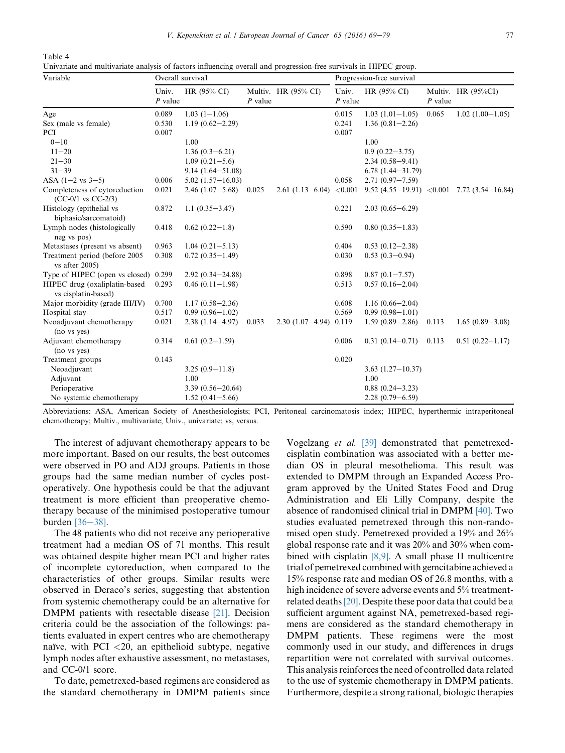<span id="page-8-0"></span>Table 4

Univariate and multivariate analysis of factors influencing overall and progression-free survivals in HIPEC group.

| Variable                                                 | Overall survival   |                        |           |                           | Progression-free survival |                                                 |           |                     |  |
|----------------------------------------------------------|--------------------|------------------------|-----------|---------------------------|---------------------------|-------------------------------------------------|-----------|---------------------|--|
|                                                          | Univ.<br>$P$ value | HR $(95\% \text{ CI})$ | $P$ value | Multiv. HR (95% CI)       | Univ.<br>$P$ value        | HR (95% CI)                                     | $P$ value | Multiv. HR (95%CI)  |  |
| Age                                                      | 0.089              | $1.03(1-1.06)$         |           |                           | 0.015                     | $1.03(1.01-1.05)$                               | 0.065     | $1.02(1.00-1.05)$   |  |
| Sex (male vs female)                                     | 0.530              | $1.19(0.62 - 2.29)$    |           |                           | 0.241                     | $1.36(0.81 - 2.26)$                             |           |                     |  |
| PCI                                                      | 0.007              |                        |           |                           | 0.007                     |                                                 |           |                     |  |
| $0 - 10$                                                 |                    | 1.00                   |           |                           |                           | 1.00                                            |           |                     |  |
| $11 - 20$                                                |                    | $1.36(0.3 - 6.21)$     |           |                           |                           | $0.9(0.22 - 3.75)$                              |           |                     |  |
| $21 - 30$                                                |                    | $1.09(0.21 - 5.6)$     |           |                           |                           | $2.34(0.58 - 9.41)$                             |           |                     |  |
| $31 - 39$                                                |                    | $9.14(1.64 - 51.08)$   |           |                           |                           | $6.78(1.44 - 31.79)$                            |           |                     |  |
| ASA $(1-2 \text{ vs } 3-5)$                              | 0.006              | $5.02(1.57 - 16.03)$   |           |                           | 0.058                     | $2.71(0.97 - 7.59)$                             |           |                     |  |
| Completeness of cytoreduction<br>$(CC-0/1$ vs $CC-2/3$ ) | 0.021              | $2.46(1.07-5.68)$      | 0.025     | $2.61(1.13-6.04)$         | < 0.001                   | 9.52 $(4.55-19.91)$ < 0.001 7.72 $(3.54-16.84)$ |           |                     |  |
| Histology (epithelial vs<br>biphasic/sarcomatoid)        | 0.872              | $1.1(0.35 - 3.47)$     |           |                           | 0.221                     | $2.03(0.65 - 6.29)$                             |           |                     |  |
| Lymph nodes (histologically<br>neg vs pos)               | 0.418              | $0.62(0.22 - 1.8)$     |           |                           | 0.590                     | $0.80(0.35-1.83)$                               |           |                     |  |
| Metastases (present vs absent)                           | 0.963              | $1.04(0.21 - 5.13)$    |           |                           | 0.404                     | $0.53(0.12 - 2.38)$                             |           |                     |  |
| Treatment period (before 2005<br>vs after 2005)          | 0.308              | $0.72(0.35-1.49)$      |           |                           | 0.030                     | $0.53(0.3-0.94)$                                |           |                     |  |
| Type of HIPEC (open vs closed) 0.299                     |                    | $2.92(0.34 - 24.88)$   |           |                           | 0.898                     | $0.87(0.1 - 7.57)$                              |           |                     |  |
| HIPEC drug (oxaliplatin-based<br>vs cisplatin-based)     | 0.293              | $0.46(0.11-1.98)$      |           |                           | 0.513                     | $0.57(0.16-2.04)$                               |           |                     |  |
| Major morbidity (grade III/IV)                           | 0.700              | $1.17(0.58 - 2.36)$    |           |                           | 0.608                     | $1.16(0.66 - 2.04)$                             |           |                     |  |
| Hospital stay                                            | 0.517              | $0.99(0.96 - 1.02)$    |           |                           | 0.569                     | $0.99(0.98 - 1.01)$                             |           |                     |  |
| Neoadjuvant chemotherapy<br>(no vs yes)                  | 0.021              | $2.38(1.14 - 4.97)$    | 0.033     | $2.30(1.07 - 4.94)$ 0.119 |                           | $1.59(0.89 - 2.86)$                             | 0.113     | $1.65(0.89 - 3.08)$ |  |
| Adjuvant chemotherapy<br>(no vs yes)                     | 0.314              | $0.61(0.2 - 1.59)$     |           |                           | 0.006                     | $0.31(0.14-0.71)$                               | 0.113     | $0.51(0.22 - 1.17)$ |  |
| Treatment groups                                         | 0.143              |                        |           |                           | 0.020                     |                                                 |           |                     |  |
| Neoadjuvant                                              |                    | $3.25(0.9-11.8)$       |           |                           |                           | $3.63(1.27-10.37)$                              |           |                     |  |
| Adjuvant                                                 |                    | 1.00                   |           |                           |                           | 1.00                                            |           |                     |  |
| Perioperative                                            |                    | $3.39(0.56 - 20.64)$   |           |                           |                           | $0.88(0.24 - 3.23)$                             |           |                     |  |
| No systemic chemotherapy                                 |                    | $1.52(0.41 - 5.66)$    |           |                           |                           | $2.28(0.79 - 6.59)$                             |           |                     |  |

Abbreviations: ASA, American Society of Anesthesiologists; PCI, Peritoneal carcinomatosis index; HIPEC, hyperthermic intraperitoneal chemotherapy; Multiv., multivariate; Univ., univariate; vs, versus.

The interest of adjuvant chemotherapy appears to be more important. Based on our results, the best outcomes were observed in PO and ADJ groups. Patients in those groups had the same median number of cycles postoperatively. One hypothesis could be that the adjuvant treatment is more efficient than preoperative chemotherapy because of the minimised postoperative tumour burden  $[36-38]$  $[36-38]$ .

The 48 patients who did not receive any perioperative treatment had a median OS of 71 months. This result was obtained despite higher mean PCI and higher rates of incomplete cytoreduction, when compared to the characteristics of other groups. Similar results were observed in Deraco's series, suggesting that abstention from systemic chemotherapy could be an alternative for DMPM patients with resectable disease [\[21\]](#page-10-0). Decision criteria could be the association of the followings: patients evaluated in expert centres who are chemotherapy naïve, with PCI  $<$  20, an epithelioid subtype, negative lymph nodes after exhaustive assessment, no metastases, and CC-0/1 score.

To date, pemetrexed-based regimens are considered as the standard chemotherapy in DMPM patients since Vogelzang et al. [\[39\]](#page-10-0) demonstrated that pemetrexedcisplatin combination was associated with a better median OS in pleural mesothelioma. This result was extended to DMPM through an Expanded Access Program approved by the United States Food and Drug Administration and Eli Lilly Company, despite the absence of randomised clinical trial in DMPM [\[40\].](#page-10-0) Two studies evaluated pemetrexed through this non-randomised open study. Pemetrexed provided a 19% and 26% global response rate and it was 20% and 30% when combined with cisplatin  $[8,9]$ . A small phase II multicentre trial of pemetrexed combined with gemcitabine achieved a 15% response rate and median OS of 26.8 months, with a high incidence of severe adverse events and 5% treatmentrelated deaths[\[20\].](#page-10-0) Despite these poor data that could be a sufficient argument against NA, pemetrexed-based regimens are considered as the standard chemotherapy in DMPM patients. These regimens were the most commonly used in our study, and differences in drugs repartition were not correlated with survival outcomes. This analysis reinforces the need of controlled data related to the use of systemic chemotherapy in DMPM patients. Furthermore, despite a strong rational, biologic therapies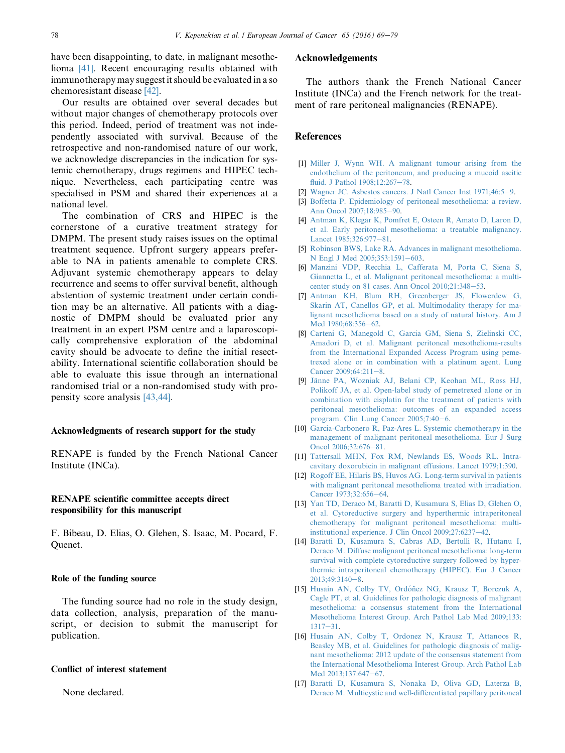<span id="page-9-0"></span>have been disappointing, to date, in malignant mesothelioma [\[41\].](#page-10-0) Recent encouraging results obtained with immunotherapy may suggest it should be evaluated in a so chemoresistant disease [\[42\].](#page-10-0)

Our results are obtained over several decades but without major changes of chemotherapy protocols over this period. Indeed, period of treatment was not independently associated with survival. Because of the retrospective and non-randomised nature of our work, we acknowledge discrepancies in the indication for systemic chemotherapy, drugs regimens and HIPEC technique. Nevertheless, each participating centre was specialised in PSM and shared their experiences at a national level.

The combination of CRS and HIPEC is the cornerstone of a curative treatment strategy for DMPM. The present study raises issues on the optimal treatment sequence. Upfront surgery appears preferable to NA in patients amenable to complete CRS. Adjuvant systemic chemotherapy appears to delay recurrence and seems to offer survival benefit, although abstention of systemic treatment under certain condition may be an alternative. All patients with a diagnostic of DMPM should be evaluated prior any treatment in an expert PSM centre and a laparoscopically comprehensive exploration of the abdominal cavity should be advocate to define the initial resectability. International scientific collaboration should be able to evaluate this issue through an international randomised trial or a non-randomised study with propensity score analysis [\[43,44\].](#page-10-0)

#### Acknowledgments of research support for the study

RENAPE is funded by the French National Cancer Institute (INCa).

## RENAPE scientific committee accepts direct responsibility for this manuscript

F. Bibeau, D. Elias, O. Glehen, S. Isaac, M. Pocard, F. Quenet.

#### Role of the funding source

The funding source had no role in the study design, data collection, analysis, preparation of the manuscript, or decision to submit the manuscript for publication.

## Conflict of interest statement

None declared.

# Acknowledgements

The authors thank the French National Cancer Institute (INCa) and the French network for the treatment of rare peritoneal malignancies (RENAPE).

#### **References**

- [1] [Miller J, Wynn WH. A malignant tumour arising from the](http://refhub.elsevier.com/S0959-8049(16)32191-8/sref1) [endothelium of the peritoneum, and producing a mucoid ascitic](http://refhub.elsevier.com/S0959-8049(16)32191-8/sref1) [fluid. J Pathol 1908;12:267](http://refhub.elsevier.com/S0959-8049(16)32191-8/sref1)-[78](http://refhub.elsevier.com/S0959-8049(16)32191-8/sref1).
- [2] [Wagner JC. Asbestos cancers. J Natl Cancer Inst 1971;46:5](http://refhub.elsevier.com/S0959-8049(16)32191-8/sref2)-[9.](http://refhub.elsevier.com/S0959-8049(16)32191-8/sref2)
- [3] [Boffetta P. Epidemiology of peritoneal mesothelioma: a review.](http://refhub.elsevier.com/S0959-8049(16)32191-8/sref3) [Ann Oncol 2007;18:985](http://refhub.elsevier.com/S0959-8049(16)32191-8/sref3)-[90.](http://refhub.elsevier.com/S0959-8049(16)32191-8/sref3)
- [4] [Antman K, Klegar K, Pomfret E, Osteen R, Amato D, Laron D,](http://refhub.elsevier.com/S0959-8049(16)32191-8/sref4) [et al. Early peritoneal mesothelioma: a treatable malignancy.](http://refhub.elsevier.com/S0959-8049(16)32191-8/sref4) Lancet  $1985:326:977-81$ .
- [5] [Robinson BWS, Lake RA. Advances in malignant mesothelioma.](http://refhub.elsevier.com/S0959-8049(16)32191-8/sref5) [N Engl J Med 2005;353:1591](http://refhub.elsevier.com/S0959-8049(16)32191-8/sref5)-[603](http://refhub.elsevier.com/S0959-8049(16)32191-8/sref5).
- [6] [Manzini VDP, Recchia L, Cafferata M, Porta C, Siena S,](http://refhub.elsevier.com/S0959-8049(16)32191-8/sref6) [Giannetta L, et al. Malignant peritoneal mesothelioma: a multi](http://refhub.elsevier.com/S0959-8049(16)32191-8/sref6)center study on 81 cases. Ann Oncol  $2010;21:348-53$ .
- [7] [Antman KH, Blum RH, Greenberger JS, Flowerdew G,](http://refhub.elsevier.com/S0959-8049(16)32191-8/sref7) [Skarin AT, Canellos GP, et al. Multimodality therapy for ma](http://refhub.elsevier.com/S0959-8049(16)32191-8/sref7)[lignant mesothelioma based on a study of natural history. Am J](http://refhub.elsevier.com/S0959-8049(16)32191-8/sref7) Med 1980:68:356-[62](http://refhub.elsevier.com/S0959-8049(16)32191-8/sref7).
- [8] [Carteni G, Manegold C, Garcia GM, Siena S, Zielinski CC,](http://refhub.elsevier.com/S0959-8049(16)32191-8/sref8) [Amadori D, et al. Malignant peritoneal mesothelioma-results](http://refhub.elsevier.com/S0959-8049(16)32191-8/sref8) [from the International Expanded Access Program using peme](http://refhub.elsevier.com/S0959-8049(16)32191-8/sref8)[trexed alone or in combination with a platinum agent. Lung](http://refhub.elsevier.com/S0959-8049(16)32191-8/sref8) Cancer  $2009;64:211-8$ .
- [9] Jänne PA, Wozniak AJ, Belani CP, Keohan ML, Ross HJ, [Polikoff JA, et al. Open-label study of pemetrexed alone or in](http://refhub.elsevier.com/S0959-8049(16)32191-8/sref9) [combination with cisplatin for the treatment of patients with](http://refhub.elsevier.com/S0959-8049(16)32191-8/sref9) [peritoneal mesothelioma: outcomes of an expanded access](http://refhub.elsevier.com/S0959-8049(16)32191-8/sref9) program. Clin Lung Cancer  $2005;7:40-6$  $2005;7:40-6$ .
- [10] [Garcia-Carbonero R, Paz-Ares L. Systemic chemotherapy in the](http://refhub.elsevier.com/S0959-8049(16)32191-8/sref10) [management of malignant peritoneal mesothelioma. Eur J Surg](http://refhub.elsevier.com/S0959-8049(16)32191-8/sref10) [Oncol 2006;32:676](http://refhub.elsevier.com/S0959-8049(16)32191-8/sref10)-[81](http://refhub.elsevier.com/S0959-8049(16)32191-8/sref10).
- [11] [Tattersall MHN, Fox RM, Newlands ES, Woods RL. Intra](http://refhub.elsevier.com/S0959-8049(16)32191-8/sref11)[cavitary doxorubicin in malignant effusions. Lancet 1979;1:390.](http://refhub.elsevier.com/S0959-8049(16)32191-8/sref11)
- [12] [Rogoff EE, Hilaris BS, Huvos AG. Long-term survival in patients](http://refhub.elsevier.com/S0959-8049(16)32191-8/sref12) [with malignant peritoneal mesothelioma treated with irradiation.](http://refhub.elsevier.com/S0959-8049(16)32191-8/sref12) [Cancer 1973;32:656](http://refhub.elsevier.com/S0959-8049(16)32191-8/sref12)-[64.](http://refhub.elsevier.com/S0959-8049(16)32191-8/sref12)
- [13] [Yan TD, Deraco M, Baratti D, Kusamura S, Elias D, Glehen O,](http://refhub.elsevier.com/S0959-8049(16)32191-8/sref13) [et al. Cytoreductive surgery and hyperthermic intraperitoneal](http://refhub.elsevier.com/S0959-8049(16)32191-8/sref13) [chemotherapy for malignant peritoneal mesothelioma: multi](http://refhub.elsevier.com/S0959-8049(16)32191-8/sref13)institutional experience. J Clin Oncol  $2009;27:6237-42$  $2009;27:6237-42$ .
- [14] [Baratti D, Kusamura S, Cabras AD, Bertulli R, Hutanu I,](http://refhub.elsevier.com/S0959-8049(16)32191-8/sref14) [Deraco M. Diffuse malignant peritoneal mesothelioma: long-term](http://refhub.elsevier.com/S0959-8049(16)32191-8/sref14) [survival with complete cytoreductive surgery followed by hyper](http://refhub.elsevier.com/S0959-8049(16)32191-8/sref14)[thermic intraperitoneal chemotherapy \(HIPEC\). Eur J Cancer](http://refhub.elsevier.com/S0959-8049(16)32191-8/sref14)  $2013;49:3140-8.$  $2013;49:3140-8.$  $2013;49:3140-8.$  $2013;49:3140-8.$
- [15] Husain AN, Colby TV, Ordóñez NG, Krausz T, Borczuk A, [Cagle PT, et al. Guidelines for pathologic diagnosis of malignant](http://refhub.elsevier.com/S0959-8049(16)32191-8/sref15) [mesothelioma: a consensus statement from the International](http://refhub.elsevier.com/S0959-8049(16)32191-8/sref15) [Mesothelioma Interest Group. Arch Pathol Lab Med 2009;133:](http://refhub.elsevier.com/S0959-8049(16)32191-8/sref15)  $1317 - 31.$  $1317 - 31.$  $1317 - 31.$
- [16] [Husain AN, Colby T, Ordonez N, Krausz T, Attanoos R,](http://refhub.elsevier.com/S0959-8049(16)32191-8/sref16) [Beasley MB, et al. Guidelines for pathologic diagnosis of malig](http://refhub.elsevier.com/S0959-8049(16)32191-8/sref16)[nant mesothelioma: 2012 update of the consensus statement from](http://refhub.elsevier.com/S0959-8049(16)32191-8/sref16) [the International Mesothelioma Interest Group. Arch Pathol Lab](http://refhub.elsevier.com/S0959-8049(16)32191-8/sref16) [Med 2013;137:647](http://refhub.elsevier.com/S0959-8049(16)32191-8/sref16)-[67](http://refhub.elsevier.com/S0959-8049(16)32191-8/sref16).
- [17] [Baratti D, Kusamura S, Nonaka D, Oliva GD, Laterza B,](http://refhub.elsevier.com/S0959-8049(16)32191-8/sref17) [Deraco M. Multicystic and well-differentiated papillary peritoneal](http://refhub.elsevier.com/S0959-8049(16)32191-8/sref17)